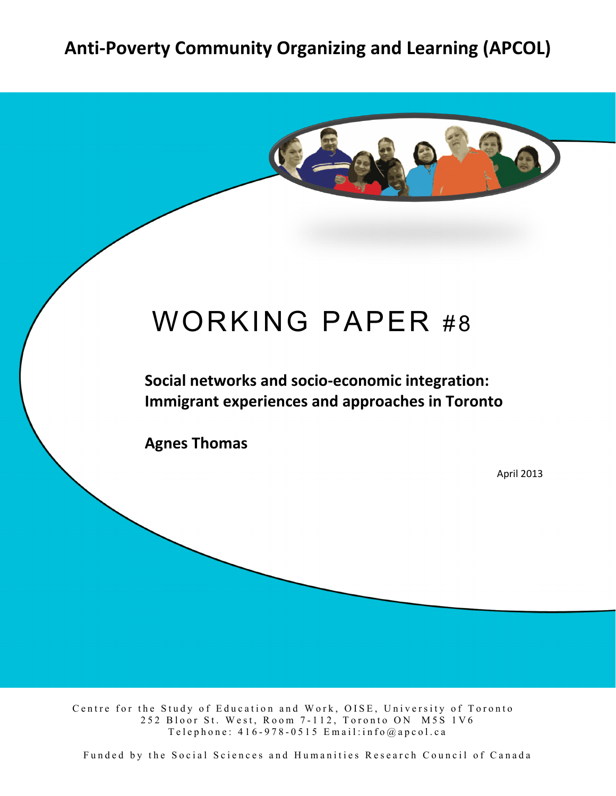## Anti-Poverty Community Organizing and Learning (APCOL)



# WORKING PAPER #8

Social networks and socio-economic integration: **Immigrant experiences and approaches in Toronto** 

**Agnes Thomas** 

April 2013

Centre for the Study of Education and Work, OISE, University of Toronto 252 Bloor St. West, Room 7 - 112, Toronto ON M5S 1V6 Telephone:  $416 - 978 - 0515$  Email: info@apcol.ca

Funded by the Social Sciences and Humanities Research Council of Canada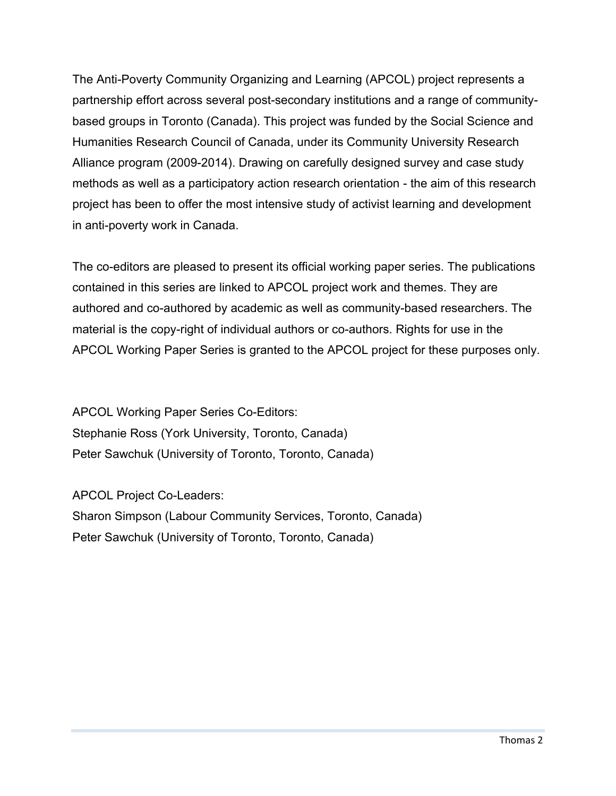The Anti-Poverty Community Organizing and Learning (APCOL) project represents a partnership effort across several post-secondary institutions and a range of communitybased groups in Toronto (Canada). This project was funded by the Social Science and Humanities Research Council of Canada, under its Community University Research Alliance program (2009-2014). Drawing on carefully designed survey and case study methods as well as a participatory action research orientation - the aim of this research project has been to offer the most intensive study of activist learning and development in anti-poverty work in Canada.

The co-editors are pleased to present its official working paper series. The publications contained in this series are linked to APCOL project work and themes. They are authored and co-authored by academic as well as community-based researchers. The material is the copy-right of individual authors or co-authors. Rights for use in the APCOL Working Paper Series is granted to the APCOL project for these purposes only.

APCOL Working Paper Series Co-Editors: Stephanie Ross (York University, Toronto, Canada) Peter Sawchuk (University of Toronto, Toronto, Canada)

APCOL Project Co-Leaders: Sharon Simpson (Labour Community Services, Toronto, Canada) Peter Sawchuk (University of Toronto, Toronto, Canada)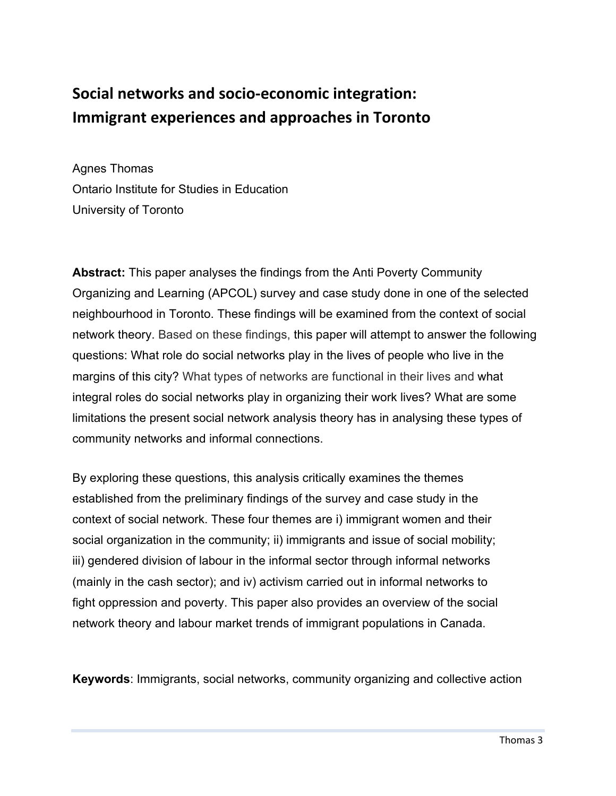### Social networks and socio-economic integration: **Immigrant experiences and approaches in Toronto**

Agnes Thomas Ontario Institute for Studies in Education University of Toronto

**Abstract:** This paper analyses the findings from the Anti Poverty Community Organizing and Learning (APCOL) survey and case study done in one of the selected neighbourhood in Toronto. These findings will be examined from the context of social network theory. Based on these findings, this paper will attempt to answer the following questions: What role do social networks play in the lives of people who live in the margins of this city? What types of networks are functional in their lives and what integral roles do social networks play in organizing their work lives? What are some limitations the present social network analysis theory has in analysing these types of community networks and informal connections.

By exploring these questions, this analysis critically examines the themes established from the preliminary findings of the survey and case study in the context of social network. These four themes are i) immigrant women and their social organization in the community; ii) immigrants and issue of social mobility; iii) gendered division of labour in the informal sector through informal networks (mainly in the cash sector); and iv) activism carried out in informal networks to fight oppression and poverty. This paper also provides an overview of the social network theory and labour market trends of immigrant populations in Canada.

**Keywords**: Immigrants, social networks, community organizing and collective action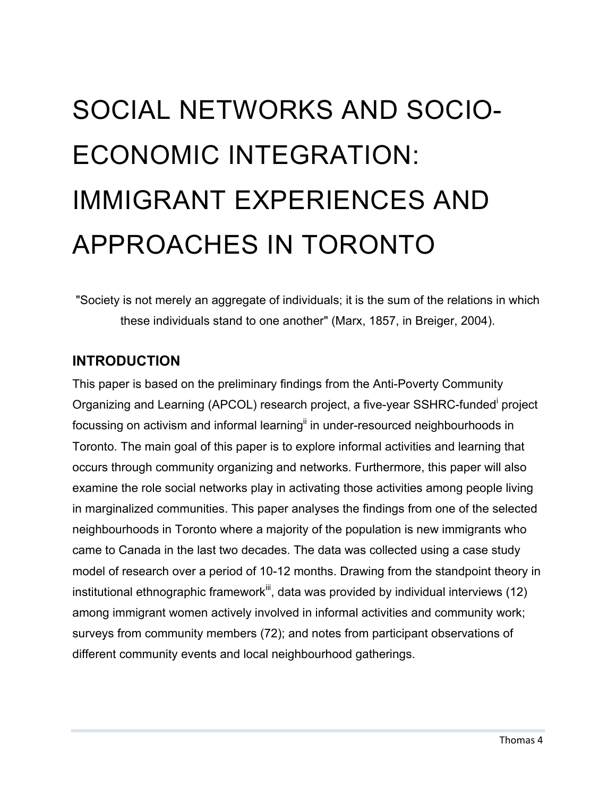# SOCIAL NETWORKS AND SOCIO-ECONOMIC INTEGRATION: IMMIGRANT EXPERIENCES AND APPROACHES IN TORONTO

"Society is not merely an aggregate of individuals; it is the sum of the relations in which these individuals stand to one another" (Marx, 1857, in Breiger, 2004).

#### **INTRODUCTION**

This paper is based on the preliminary findings from the Anti-Poverty Community Organizing and Learning (APCOL) research project, a five-year SSHRC-funded<sup>i</sup> project focussing on activism and informal learning<sup>ii</sup> in under-resourced neighbourhoods in Toronto. The main goal of this paper is to explore informal activities and learning that occurs through community organizing and networks. Furthermore, this paper will also examine the role social networks play in activating those activities among people living in marginalized communities. This paper analyses the findings from one of the selected neighbourhoods in Toronto where a majority of the population is new immigrants who came to Canada in the last two decades. The data was collected using a case study model of research over a period of 10-12 months. Drawing from the standpoint theory in institutional ethnographic framework<sup>iii</sup>, data was provided by individual interviews (12) among immigrant women actively involved in informal activities and community work; surveys from community members (72); and notes from participant observations of different community events and local neighbourhood gatherings.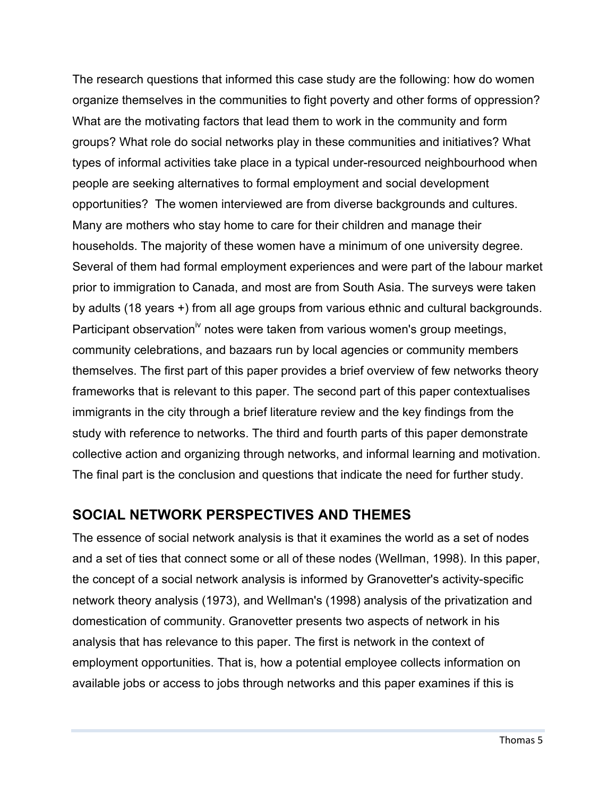The research questions that informed this case study are the following: how do women organize themselves in the communities to fight poverty and other forms of oppression? What are the motivating factors that lead them to work in the community and form groups? What role do social networks play in these communities and initiatives? What types of informal activities take place in a typical under-resourced neighbourhood when people are seeking alternatives to formal employment and social development opportunities? The women interviewed are from diverse backgrounds and cultures. Many are mothers who stay home to care for their children and manage their households. The majority of these women have a minimum of one university degree. Several of them had formal employment experiences and were part of the labour market prior to immigration to Canada, and most are from South Asia. The surveys were taken by adults (18 years +) from all age groups from various ethnic and cultural backgrounds. Participant observation<sup>iv</sup> notes were taken from various women's group meetings, community celebrations, and bazaars run by local agencies or community members themselves. The first part of this paper provides a brief overview of few networks theory frameworks that is relevant to this paper. The second part of this paper contextualises immigrants in the city through a brief literature review and the key findings from the study with reference to networks. The third and fourth parts of this paper demonstrate collective action and organizing through networks, and informal learning and motivation. The final part is the conclusion and questions that indicate the need for further study.

#### **SOCIAL NETWORK PERSPECTIVES AND THEMES**

The essence of social network analysis is that it examines the world as a set of nodes and a set of ties that connect some or all of these nodes (Wellman, 1998). In this paper, the concept of a social network analysis is informed by Granovetter's activity-specific network theory analysis (1973), and Wellman's (1998) analysis of the privatization and domestication of community. Granovetter presents two aspects of network in his analysis that has relevance to this paper. The first is network in the context of employment opportunities. That is, how a potential employee collects information on available jobs or access to jobs through networks and this paper examines if this is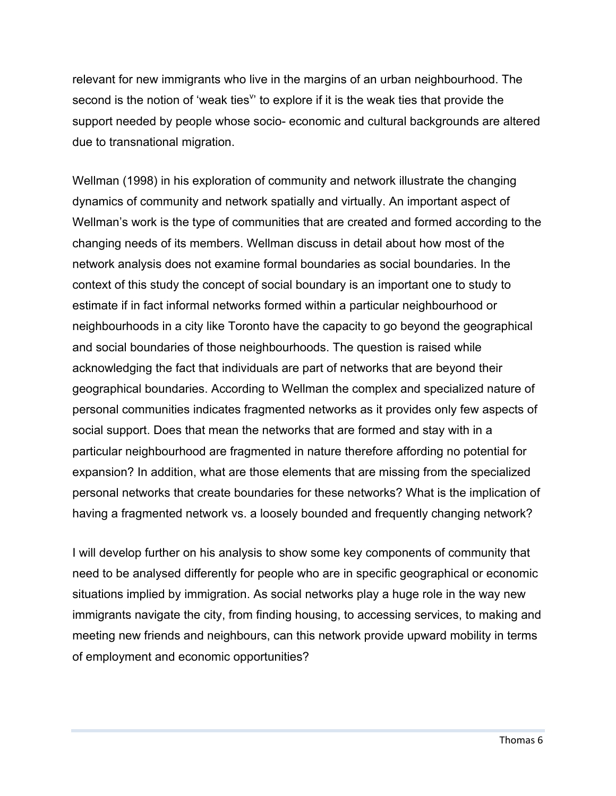relevant for new immigrants who live in the margins of an urban neighbourhood. The second is the notion of 'weak ties" to explore if it is the weak ties that provide the support needed by people whose socio- economic and cultural backgrounds are altered due to transnational migration.

Wellman (1998) in his exploration of community and network illustrate the changing dynamics of community and network spatially and virtually. An important aspect of Wellman's work is the type of communities that are created and formed according to the changing needs of its members. Wellman discuss in detail about how most of the network analysis does not examine formal boundaries as social boundaries. In the context of this study the concept of social boundary is an important one to study to estimate if in fact informal networks formed within a particular neighbourhood or neighbourhoods in a city like Toronto have the capacity to go beyond the geographical and social boundaries of those neighbourhoods. The question is raised while acknowledging the fact that individuals are part of networks that are beyond their geographical boundaries. According to Wellman the complex and specialized nature of personal communities indicates fragmented networks as it provides only few aspects of social support. Does that mean the networks that are formed and stay with in a particular neighbourhood are fragmented in nature therefore affording no potential for expansion? In addition, what are those elements that are missing from the specialized personal networks that create boundaries for these networks? What is the implication of having a fragmented network vs. a loosely bounded and frequently changing network?

I will develop further on his analysis to show some key components of community that need to be analysed differently for people who are in specific geographical or economic situations implied by immigration. As social networks play a huge role in the way new immigrants navigate the city, from finding housing, to accessing services, to making and meeting new friends and neighbours, can this network provide upward mobility in terms of employment and economic opportunities?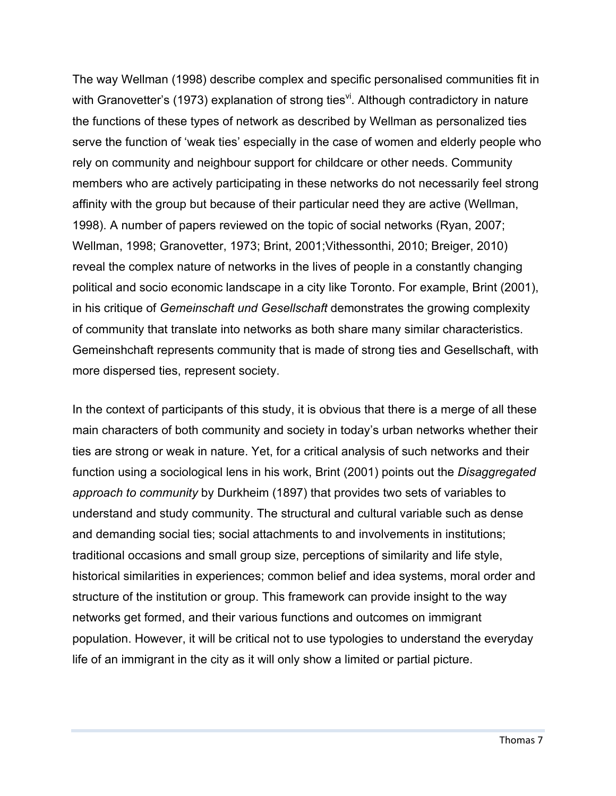The way Wellman (1998) describe complex and specific personalised communities fit in with Granovetter's (1973) explanation of strong ties<sup>vi</sup>. Although contradictory in nature the functions of these types of network as described by Wellman as personalized ties serve the function of 'weak ties' especially in the case of women and elderly people who rely on community and neighbour support for childcare or other needs. Community members who are actively participating in these networks do not necessarily feel strong affinity with the group but because of their particular need they are active (Wellman, 1998). A number of papers reviewed on the topic of social networks (Ryan, 2007; Wellman, 1998; Granovetter, 1973; Brint, 2001;Vithessonthi, 2010; Breiger, 2010) reveal the complex nature of networks in the lives of people in a constantly changing political and socio economic landscape in a city like Toronto. For example, Brint (2001), in his critique of *Gemeinschaft und Gesellschaft* demonstrates the growing complexity of community that translate into networks as both share many similar characteristics. Gemeinshchaft represents community that is made of strong ties and Gesellschaft, with more dispersed ties, represent society.

In the context of participants of this study, it is obvious that there is a merge of all these main characters of both community and society in today's urban networks whether their ties are strong or weak in nature. Yet, for a critical analysis of such networks and their function using a sociological lens in his work, Brint (2001) points out the *Disaggregated approach to community* by Durkheim (1897) that provides two sets of variables to understand and study community. The structural and cultural variable such as dense and demanding social ties; social attachments to and involvements in institutions; traditional occasions and small group size, perceptions of similarity and life style, historical similarities in experiences; common belief and idea systems, moral order and structure of the institution or group. This framework can provide insight to the way networks get formed, and their various functions and outcomes on immigrant population. However, it will be critical not to use typologies to understand the everyday life of an immigrant in the city as it will only show a limited or partial picture.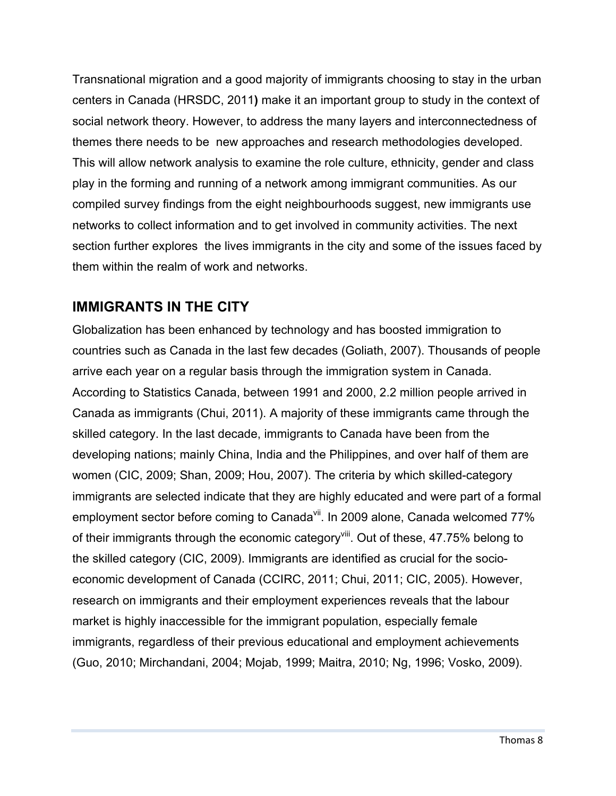Transnational migration and a good majority of immigrants choosing to stay in the urban centers in Canada (HRSDC, 2011**)** make it an important group to study in the context of social network theory. However, to address the many layers and interconnectedness of themes there needs to be new approaches and research methodologies developed. This will allow network analysis to examine the role culture, ethnicity, gender and class play in the forming and running of a network among immigrant communities. As our compiled survey findings from the eight neighbourhoods suggest, new immigrants use networks to collect information and to get involved in community activities. The next section further explores the lives immigrants in the city and some of the issues faced by them within the realm of work and networks.

#### **IMMIGRANTS IN THE CITY**

Globalization has been enhanced by technology and has boosted immigration to countries such as Canada in the last few decades (Goliath, 2007). Thousands of people arrive each year on a regular basis through the immigration system in Canada. According to Statistics Canada, between 1991 and 2000, 2.2 million people arrived in Canada as immigrants (Chui, 2011). A majority of these immigrants came through the skilled category. In the last decade, immigrants to Canada have been from the developing nations; mainly China, India and the Philippines, and over half of them are women (CIC, 2009; Shan, 2009; Hou, 2007). The criteria by which skilled-category immigrants are selected indicate that they are highly educated and were part of a formal employment sector before coming to Canada<sup>vii</sup>. In 2009 alone, Canada welcomed 77% of their immigrants through the economic category<sup>viii</sup>. Out of these, 47.75% belong to the skilled category (CIC, 2009). Immigrants are identified as crucial for the socioeconomic development of Canada (CCIRC, 2011; Chui, 2011; CIC, 2005). However, research on immigrants and their employment experiences reveals that the labour market is highly inaccessible for the immigrant population, especially female immigrants, regardless of their previous educational and employment achievements (Guo, 2010; Mirchandani, 2004; Mojab, 1999; Maitra, 2010; Ng, 1996; Vosko, 2009).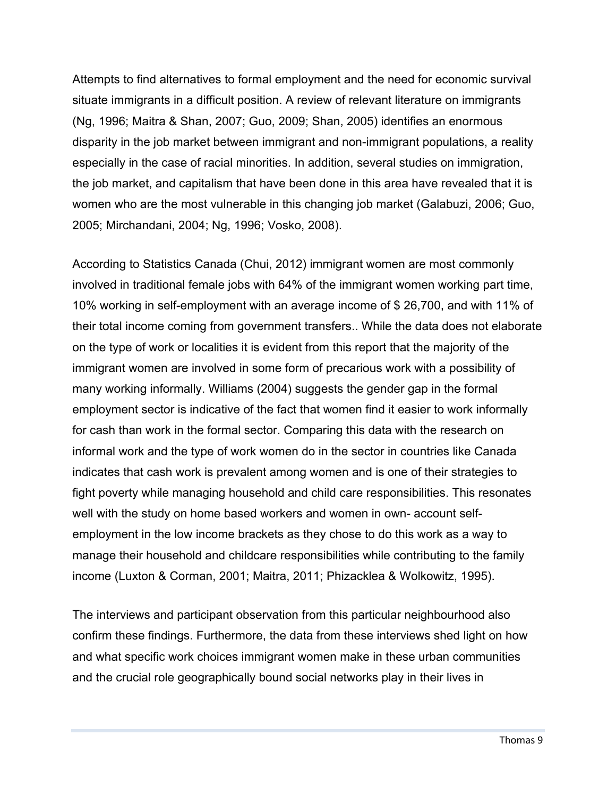Attempts to find alternatives to formal employment and the need for economic survival situate immigrants in a difficult position. A review of relevant literature on immigrants (Ng, 1996; Maitra & Shan, 2007; Guo, 2009; Shan, 2005) identifies an enormous disparity in the job market between immigrant and non-immigrant populations, a reality especially in the case of racial minorities. In addition, several studies on immigration, the job market, and capitalism that have been done in this area have revealed that it is women who are the most vulnerable in this changing job market (Galabuzi, 2006; Guo, 2005; Mirchandani, 2004; Ng, 1996; Vosko, 2008).

According to Statistics Canada (Chui, 2012) immigrant women are most commonly involved in traditional female jobs with 64% of the immigrant women working part time, 10% working in self-employment with an average income of \$ 26,700, and with 11% of their total income coming from government transfers.. While the data does not elaborate on the type of work or localities it is evident from this report that the majority of the immigrant women are involved in some form of precarious work with a possibility of many working informally. Williams (2004) suggests the gender gap in the formal employment sector is indicative of the fact that women find it easier to work informally for cash than work in the formal sector. Comparing this data with the research on informal work and the type of work women do in the sector in countries like Canada indicates that cash work is prevalent among women and is one of their strategies to fight poverty while managing household and child care responsibilities. This resonates well with the study on home based workers and women in own- account selfemployment in the low income brackets as they chose to do this work as a way to manage their household and childcare responsibilities while contributing to the family income (Luxton & Corman, 2001; Maitra, 2011; Phizacklea & Wolkowitz, 1995).

The interviews and participant observation from this particular neighbourhood also confirm these findings. Furthermore, the data from these interviews shed light on how and what specific work choices immigrant women make in these urban communities and the crucial role geographically bound social networks play in their lives in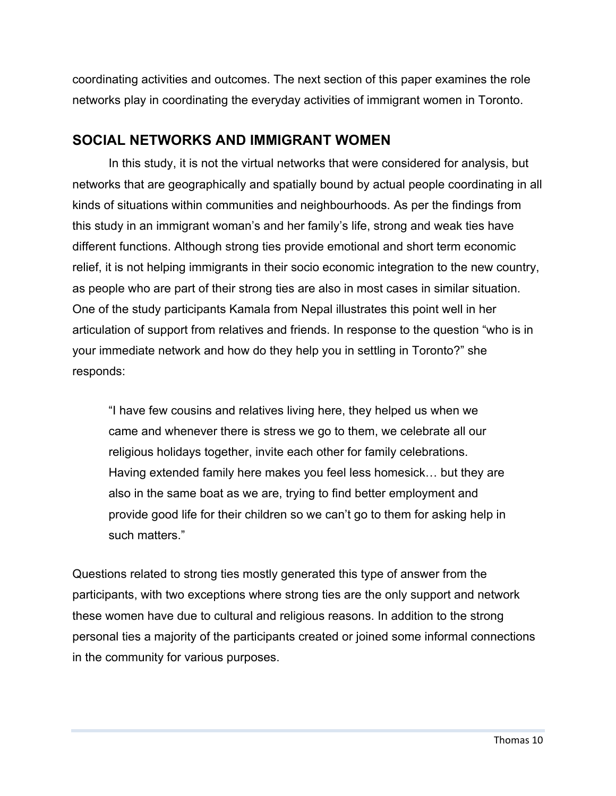coordinating activities and outcomes. The next section of this paper examines the role networks play in coordinating the everyday activities of immigrant women in Toronto.

#### **SOCIAL NETWORKS AND IMMIGRANT WOMEN**

In this study, it is not the virtual networks that were considered for analysis, but networks that are geographically and spatially bound by actual people coordinating in all kinds of situations within communities and neighbourhoods. As per the findings from this study in an immigrant woman's and her family's life, strong and weak ties have different functions. Although strong ties provide emotional and short term economic relief, it is not helping immigrants in their socio economic integration to the new country, as people who are part of their strong ties are also in most cases in similar situation. One of the study participants Kamala from Nepal illustrates this point well in her articulation of support from relatives and friends. In response to the question "who is in your immediate network and how do they help you in settling in Toronto?" she responds:

"I have few cousins and relatives living here, they helped us when we came and whenever there is stress we go to them, we celebrate all our religious holidays together, invite each other for family celebrations. Having extended family here makes you feel less homesick… but they are also in the same boat as we are, trying to find better employment and provide good life for their children so we can't go to them for asking help in such matters."

Questions related to strong ties mostly generated this type of answer from the participants, with two exceptions where strong ties are the only support and network these women have due to cultural and religious reasons. In addition to the strong personal ties a majority of the participants created or joined some informal connections in the community for various purposes.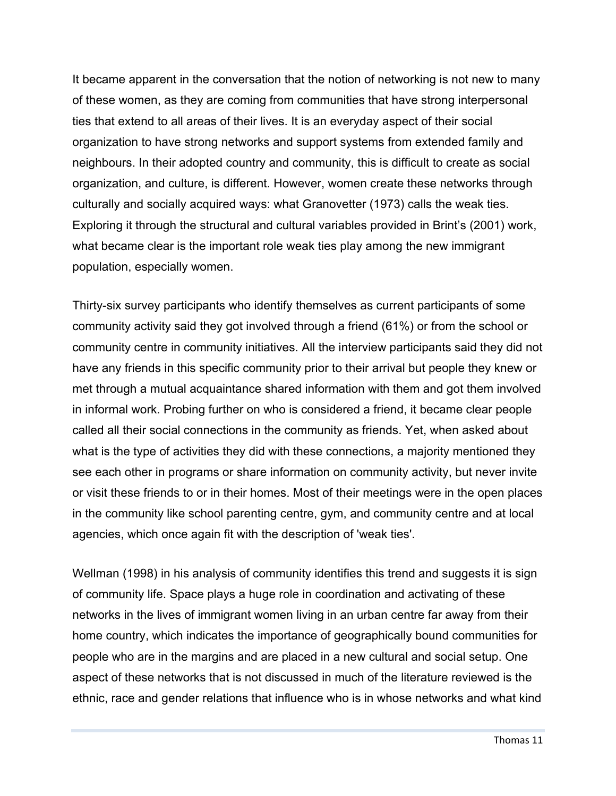It became apparent in the conversation that the notion of networking is not new to many of these women, as they are coming from communities that have strong interpersonal ties that extend to all areas of their lives. It is an everyday aspect of their social organization to have strong networks and support systems from extended family and neighbours. In their adopted country and community, this is difficult to create as social organization, and culture, is different. However, women create these networks through culturally and socially acquired ways: what Granovetter (1973) calls the weak ties. Exploring it through the structural and cultural variables provided in Brint's (2001) work, what became clear is the important role weak ties play among the new immigrant population, especially women.

Thirty-six survey participants who identify themselves as current participants of some community activity said they got involved through a friend (61%) or from the school or community centre in community initiatives. All the interview participants said they did not have any friends in this specific community prior to their arrival but people they knew or met through a mutual acquaintance shared information with them and got them involved in informal work. Probing further on who is considered a friend, it became clear people called all their social connections in the community as friends. Yet, when asked about what is the type of activities they did with these connections, a majority mentioned they see each other in programs or share information on community activity, but never invite or visit these friends to or in their homes. Most of their meetings were in the open places in the community like school parenting centre, gym, and community centre and at local agencies, which once again fit with the description of 'weak ties'.

Wellman (1998) in his analysis of community identifies this trend and suggests it is sign of community life. Space plays a huge role in coordination and activating of these networks in the lives of immigrant women living in an urban centre far away from their home country, which indicates the importance of geographically bound communities for people who are in the margins and are placed in a new cultural and social setup. One aspect of these networks that is not discussed in much of the literature reviewed is the ethnic, race and gender relations that influence who is in whose networks and what kind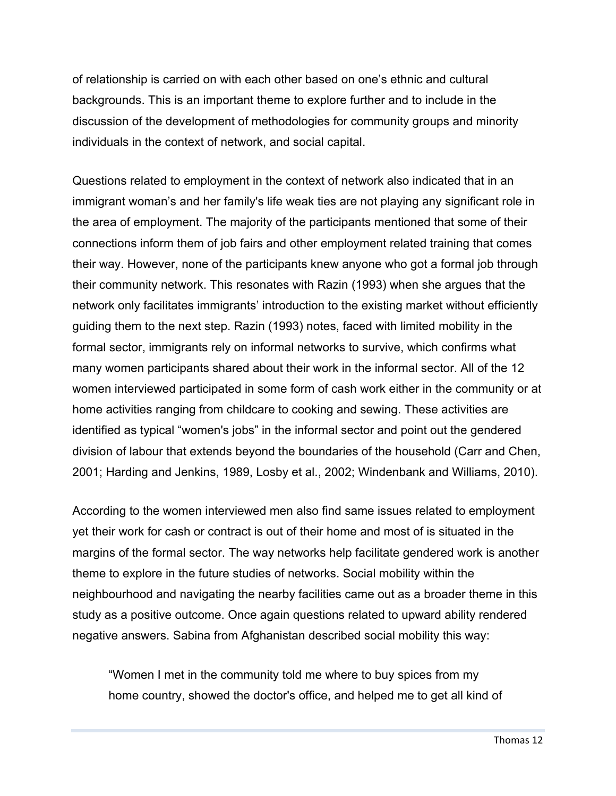of relationship is carried on with each other based on one's ethnic and cultural backgrounds. This is an important theme to explore further and to include in the discussion of the development of methodologies for community groups and minority individuals in the context of network, and social capital.

Questions related to employment in the context of network also indicated that in an immigrant woman's and her family's life weak ties are not playing any significant role in the area of employment. The majority of the participants mentioned that some of their connections inform them of job fairs and other employment related training that comes their way. However, none of the participants knew anyone who got a formal job through their community network. This resonates with Razin (1993) when she argues that the network only facilitates immigrants' introduction to the existing market without efficiently guiding them to the next step. Razin (1993) notes, faced with limited mobility in the formal sector, immigrants rely on informal networks to survive, which confirms what many women participants shared about their work in the informal sector. All of the 12 women interviewed participated in some form of cash work either in the community or at home activities ranging from childcare to cooking and sewing. These activities are identified as typical "women's jobs" in the informal sector and point out the gendered division of labour that extends beyond the boundaries of the household (Carr and Chen, 2001; Harding and Jenkins, 1989, Losby et al., 2002; Windenbank and Williams, 2010).

According to the women interviewed men also find same issues related to employment yet their work for cash or contract is out of their home and most of is situated in the margins of the formal sector. The way networks help facilitate gendered work is another theme to explore in the future studies of networks. Social mobility within the neighbourhood and navigating the nearby facilities came out as a broader theme in this study as a positive outcome. Once again questions related to upward ability rendered negative answers. Sabina from Afghanistan described social mobility this way:

"Women I met in the community told me where to buy spices from my home country, showed the doctor's office, and helped me to get all kind of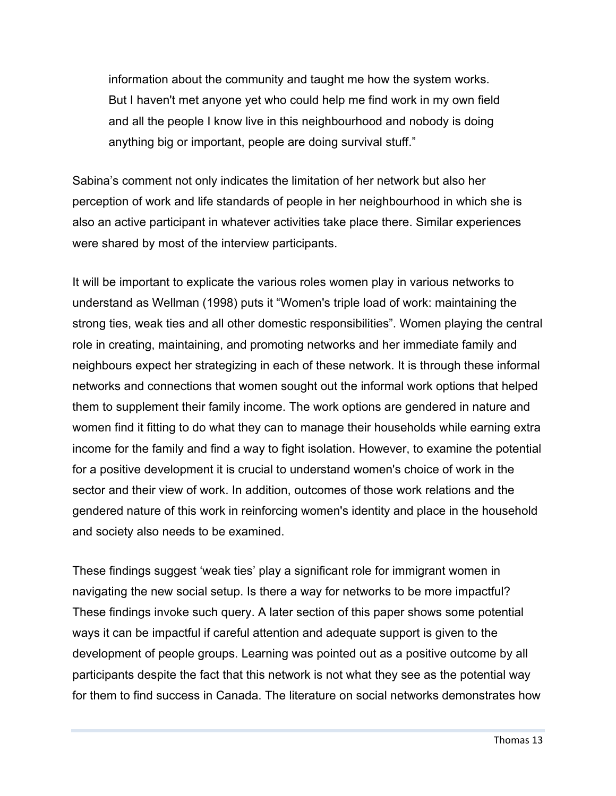information about the community and taught me how the system works. But I haven't met anyone yet who could help me find work in my own field and all the people I know live in this neighbourhood and nobody is doing anything big or important, people are doing survival stuff."

Sabina's comment not only indicates the limitation of her network but also her perception of work and life standards of people in her neighbourhood in which she is also an active participant in whatever activities take place there. Similar experiences were shared by most of the interview participants.

It will be important to explicate the various roles women play in various networks to understand as Wellman (1998) puts it "Women's triple load of work: maintaining the strong ties, weak ties and all other domestic responsibilities". Women playing the central role in creating, maintaining, and promoting networks and her immediate family and neighbours expect her strategizing in each of these network. It is through these informal networks and connections that women sought out the informal work options that helped them to supplement their family income. The work options are gendered in nature and women find it fitting to do what they can to manage their households while earning extra income for the family and find a way to fight isolation. However, to examine the potential for a positive development it is crucial to understand women's choice of work in the sector and their view of work. In addition, outcomes of those work relations and the gendered nature of this work in reinforcing women's identity and place in the household and society also needs to be examined.

These findings suggest 'weak ties' play a significant role for immigrant women in navigating the new social setup. Is there a way for networks to be more impactful? These findings invoke such query. A later section of this paper shows some potential ways it can be impactful if careful attention and adequate support is given to the development of people groups. Learning was pointed out as a positive outcome by all participants despite the fact that this network is not what they see as the potential way for them to find success in Canada. The literature on social networks demonstrates how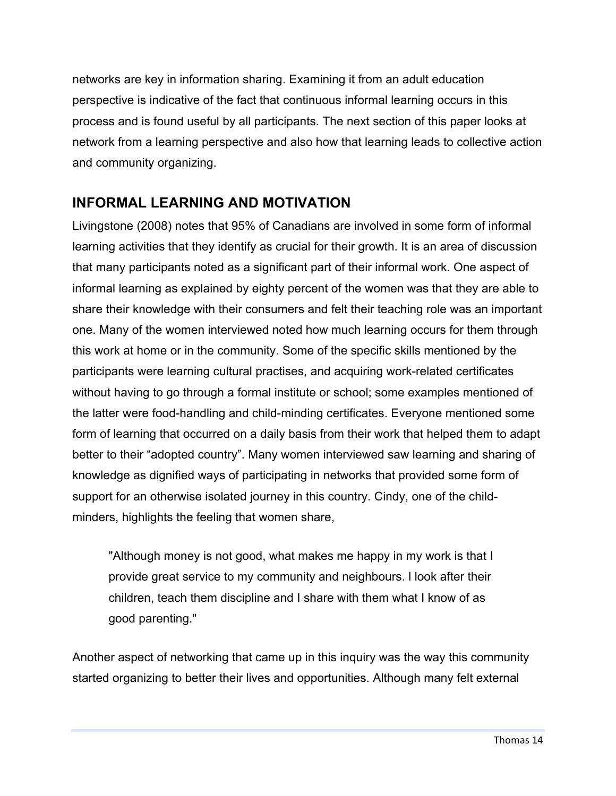networks are key in information sharing. Examining it from an adult education perspective is indicative of the fact that continuous informal learning occurs in this process and is found useful by all participants. The next section of this paper looks at network from a learning perspective and also how that learning leads to collective action and community organizing.

#### **INFORMAL LEARNING AND MOTIVATION**

Livingstone (2008) notes that 95% of Canadians are involved in some form of informal learning activities that they identify as crucial for their growth. It is an area of discussion that many participants noted as a significant part of their informal work. One aspect of informal learning as explained by eighty percent of the women was that they are able to share their knowledge with their consumers and felt their teaching role was an important one. Many of the women interviewed noted how much learning occurs for them through this work at home or in the community. Some of the specific skills mentioned by the participants were learning cultural practises, and acquiring work-related certificates without having to go through a formal institute or school; some examples mentioned of the latter were food-handling and child-minding certificates. Everyone mentioned some form of learning that occurred on a daily basis from their work that helped them to adapt better to their "adopted country". Many women interviewed saw learning and sharing of knowledge as dignified ways of participating in networks that provided some form of support for an otherwise isolated journey in this country. Cindy, one of the childminders, highlights the feeling that women share,

"Although money is not good, what makes me happy in my work is that I provide great service to my community and neighbours. l look after their children, teach them discipline and I share with them what I know of as good parenting."

Another aspect of networking that came up in this inquiry was the way this community started organizing to better their lives and opportunities. Although many felt external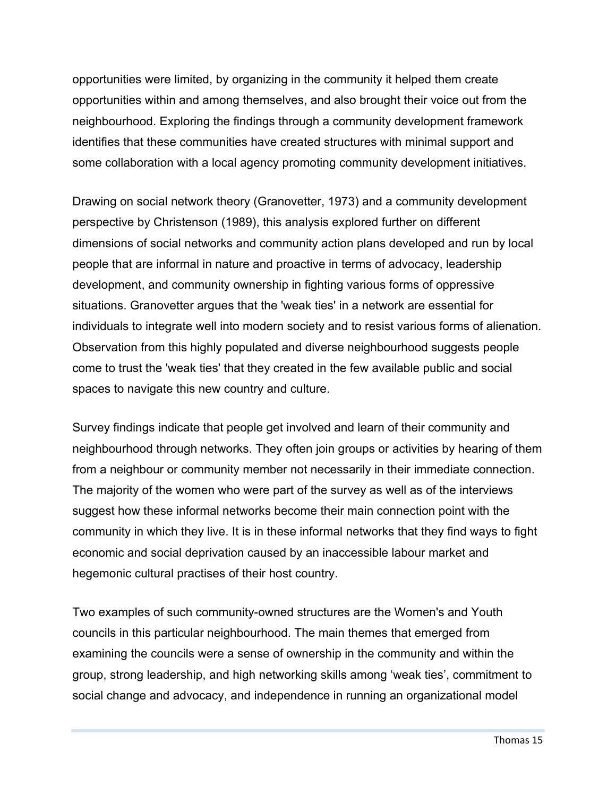opportunities were limited, by organizing in the community it helped them create opportunities within and among themselves, and also brought their voice out from the neighbourhood. Exploring the findings through a community development framework identifies that these communities have created structures with minimal support and some collaboration with a local agency promoting community development initiatives.

Drawing on social network theory (Granovetter, 1973) and a community development perspective by Christenson (1989), this analysis explored further on different dimensions of social networks and community action plans developed and run by local people that are informal in nature and proactive in terms of advocacy, leadership development, and community ownership in fighting various forms of oppressive situations. Granovetter argues that the 'weak ties' in a network are essential for individuals to integrate well into modern society and to resist various forms of alienation. Observation from this highly populated and diverse neighbourhood suggests people come to trust the 'weak ties' that they created in the few available public and social spaces to navigate this new country and culture.

Survey findings indicate that people get involved and learn of their community and neighbourhood through networks. They often join groups or activities by hearing of them from a neighbour or community member not necessarily in their immediate connection. The majority of the women who were part of the survey as well as of the interviews suggest how these informal networks become their main connection point with the community in which they live. It is in these informal networks that they find ways to fight economic and social deprivation caused by an inaccessible labour market and hegemonic cultural practises of their host country.

Two examples of such community-owned structures are the Women's and Youth councils in this particular neighbourhood. The main themes that emerged from examining the councils were a sense of ownership in the community and within the group, strong leadership, and high networking skills among 'weak ties', commitment to social change and advocacy, and independence in running an organizational model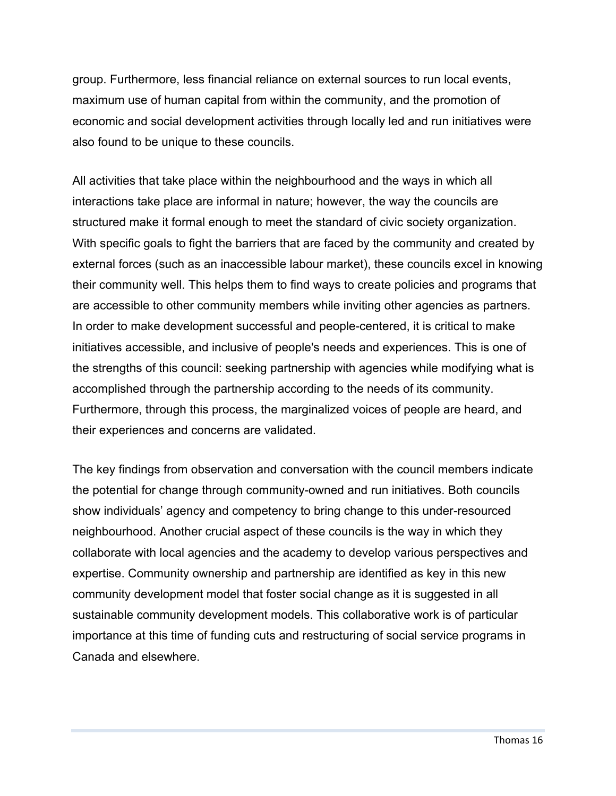group. Furthermore, less financial reliance on external sources to run local events, maximum use of human capital from within the community, and the promotion of economic and social development activities through locally led and run initiatives were also found to be unique to these councils.

All activities that take place within the neighbourhood and the ways in which all interactions take place are informal in nature; however, the way the councils are structured make it formal enough to meet the standard of civic society organization. With specific goals to fight the barriers that are faced by the community and created by external forces (such as an inaccessible labour market), these councils excel in knowing their community well. This helps them to find ways to create policies and programs that are accessible to other community members while inviting other agencies as partners. In order to make development successful and people-centered, it is critical to make initiatives accessible, and inclusive of people's needs and experiences. This is one of the strengths of this council: seeking partnership with agencies while modifying what is accomplished through the partnership according to the needs of its community. Furthermore, through this process, the marginalized voices of people are heard, and their experiences and concerns are validated.

The key findings from observation and conversation with the council members indicate the potential for change through community-owned and run initiatives. Both councils show individuals' agency and competency to bring change to this under-resourced neighbourhood. Another crucial aspect of these councils is the way in which they collaborate with local agencies and the academy to develop various perspectives and expertise. Community ownership and partnership are identified as key in this new community development model that foster social change as it is suggested in all sustainable community development models. This collaborative work is of particular importance at this time of funding cuts and restructuring of social service programs in Canada and elsewhere.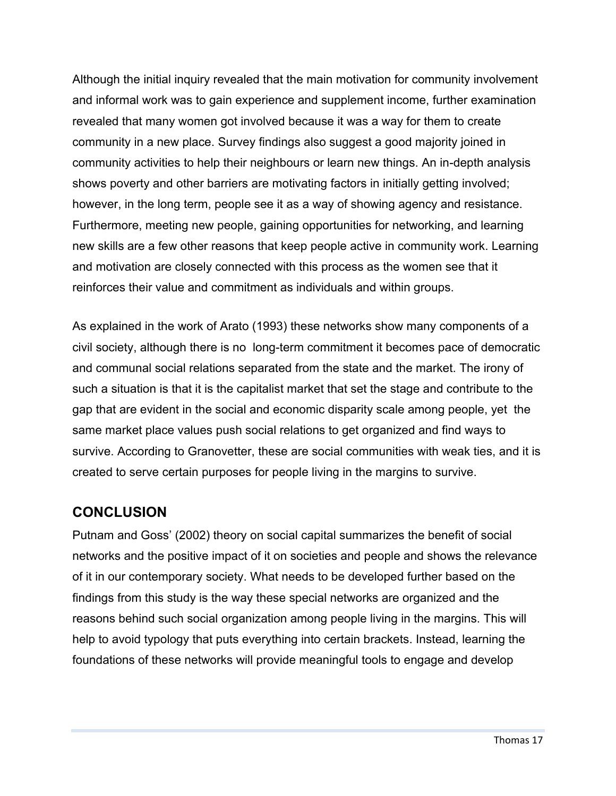Although the initial inquiry revealed that the main motivation for community involvement and informal work was to gain experience and supplement income, further examination revealed that many women got involved because it was a way for them to create community in a new place. Survey findings also suggest a good majority joined in community activities to help their neighbours or learn new things. An in-depth analysis shows poverty and other barriers are motivating factors in initially getting involved; however, in the long term, people see it as a way of showing agency and resistance. Furthermore, meeting new people, gaining opportunities for networking, and learning new skills are a few other reasons that keep people active in community work. Learning and motivation are closely connected with this process as the women see that it reinforces their value and commitment as individuals and within groups.

As explained in the work of Arato (1993) these networks show many components of a civil society, although there is no long-term commitment it becomes pace of democratic and communal social relations separated from the state and the market. The irony of such a situation is that it is the capitalist market that set the stage and contribute to the gap that are evident in the social and economic disparity scale among people, yet the same market place values push social relations to get organized and find ways to survive. According to Granovetter, these are social communities with weak ties, and it is created to serve certain purposes for people living in the margins to survive.

#### **CONCLUSION**

Putnam and Goss' (2002) theory on social capital summarizes the benefit of social networks and the positive impact of it on societies and people and shows the relevance of it in our contemporary society. What needs to be developed further based on the findings from this study is the way these special networks are organized and the reasons behind such social organization among people living in the margins. This will help to avoid typology that puts everything into certain brackets. Instead, learning the foundations of these networks will provide meaningful tools to engage and develop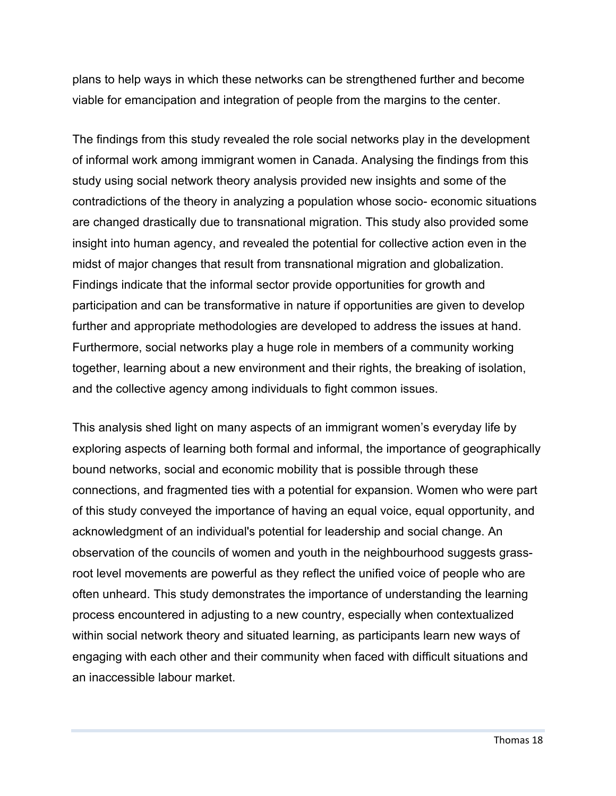plans to help ways in which these networks can be strengthened further and become viable for emancipation and integration of people from the margins to the center.

The findings from this study revealed the role social networks play in the development of informal work among immigrant women in Canada. Analysing the findings from this study using social network theory analysis provided new insights and some of the contradictions of the theory in analyzing a population whose socio- economic situations are changed drastically due to transnational migration. This study also provided some insight into human agency, and revealed the potential for collective action even in the midst of major changes that result from transnational migration and globalization. Findings indicate that the informal sector provide opportunities for growth and participation and can be transformative in nature if opportunities are given to develop further and appropriate methodologies are developed to address the issues at hand. Furthermore, social networks play a huge role in members of a community working together, learning about a new environment and their rights, the breaking of isolation, and the collective agency among individuals to fight common issues.

This analysis shed light on many aspects of an immigrant women's everyday life by exploring aspects of learning both formal and informal, the importance of geographically bound networks, social and economic mobility that is possible through these connections, and fragmented ties with a potential for expansion. Women who were part of this study conveyed the importance of having an equal voice, equal opportunity, and acknowledgment of an individual's potential for leadership and social change. An observation of the councils of women and youth in the neighbourhood suggests grassroot level movements are powerful as they reflect the unified voice of people who are often unheard. This study demonstrates the importance of understanding the learning process encountered in adjusting to a new country, especially when contextualized within social network theory and situated learning, as participants learn new ways of engaging with each other and their community when faced with difficult situations and an inaccessible labour market.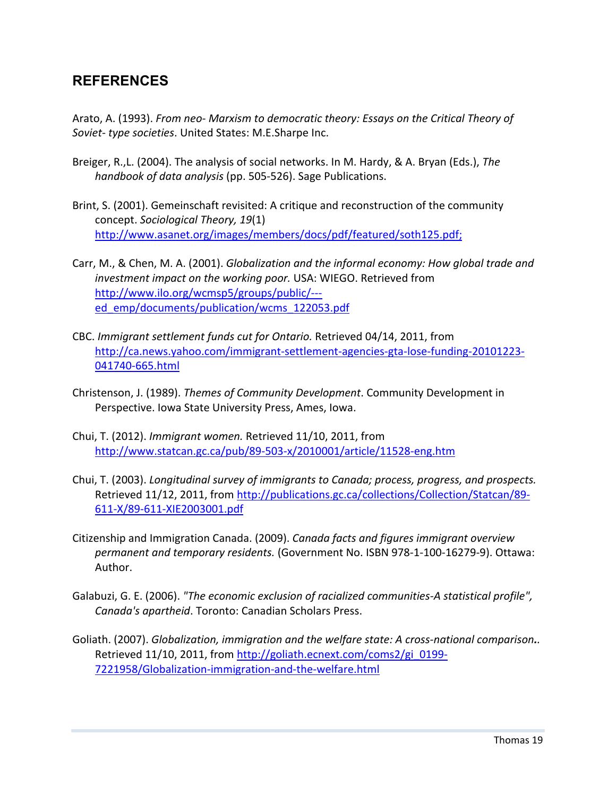#### **REFERENCES**

Arato, A. (1993). *From neo- Marxism to democratic theory: Essays on the Critical Theory of* Soviet-type societies. United States: M.E.Sharpe Inc.

- Breiger, R.,L. (2004). The analysis of social networks. In M. Hardy, & A. Bryan (Eds.), The *handbook of data analysis* (pp. 505-526). Sage Publications.
- Brint, S. (2001). Gemeinschaft revisited: A critique and reconstruction of the community concept. Sociological Theory, 19(1) http://www.asanet.org/images/members/docs/pdf/featured/soth125.pdf;
- Carr, M., & Chen, M. A. (2001). *Globalization and the informal economy: How global trade and investment impact on the working poor.* USA: WIEGO. Retrieved from http://www.ilo.org/wcmsp5/groups/public/--ed\_emp/documents/publication/wcms\_122053.pdf
- CBC. Immigrant settlement funds cut for Ontario. Retrieved 04/14, 2011, from http://ca.news.yahoo.com/immigrant-settlement-agencies-gta-lose-funding-20101223-041740-665.html
- Christenson, J. (1989). *Themes of Community Development*. Community Development in Perspective. Iowa State University Press, Ames, Iowa.
- Chui, T. (2012). *Immigrant women.* Retrieved 11/10, 2011, from http://www.statcan.gc.ca/pub/89-503-x/2010001/article/11528-eng.htm
- Chui, T. (2003). Longitudinal survey of immigrants to Canada; process, progress, and prospects. Retrieved 11/12, 2011, from http://publications.gc.ca/collections/Collection/Statcan/89-611-X/89-611-XIE2003001.pdf
- Citizenship and Immigration Canada. (2009). *Canada facts and figures immigrant overview permanent and temporary residents.* (Government No. ISBN 978-1-100-16279-9). Ottawa: Author.
- Galabuzi, G. E. (2006). *"The economic exclusion of racialized communities-A statistical profile",* Canada's apartheid. Toronto: Canadian Scholars Press.
- Goliath. (2007). *Globalization, immigration and the welfare state: A cross-national comparison..* Retrieved 11/10, 2011, from http://goliath.ecnext.com/coms2/gi\_0199-7221958/Globalization-immigration-and-the-welfare.html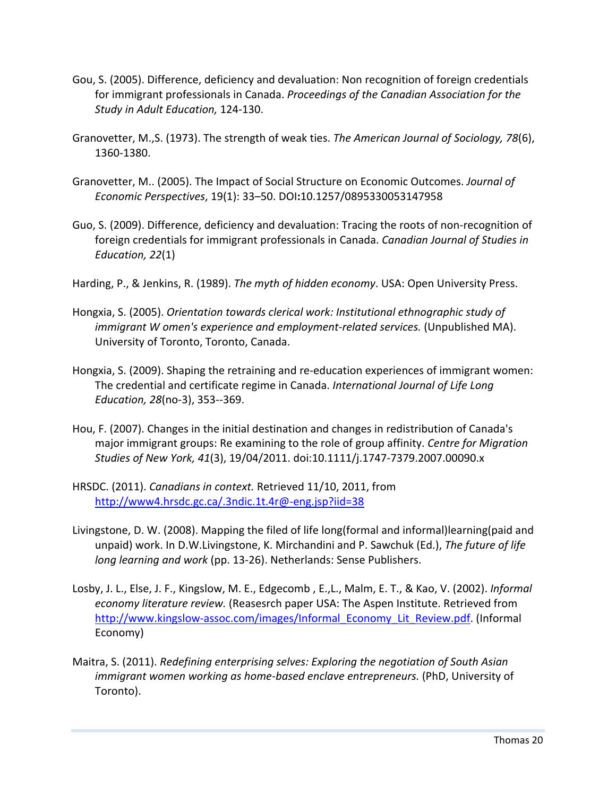- Gou, S. (2005). Difference, deficiency and devaluation: Non recognition of foreign credentials for immigrant professionals in Canada. *Proceedings of the Canadian Association for the* **Study in Adult Education, 124-130.**
- Granovetter, M.,S. (1973). The strength of weak ties. The American Journal of Sociology, 78(6), 1360-1380.
- Granovetter, M.. (2005). The Impact of Social Structure on Economic Outcomes. *Journal of Economic%Perspectives*,!19(1):!33–50.!DOI**:**10.1257/0895330053147958
- Guo, S. (2009). Difference, deficiency and devaluation: Tracing the roots of non-recognition of foreign credentials for immigrant professionals in Canada. Canadian Journal of Studies in *Education, 22(1)*
- Harding, P., & Jenkins, R. (1989). *The myth of hidden economy*. USA: Open University Press.
- Hongxia, S. (2005). *Orientation towards clerical work: Institutional ethnographic study of immigrant W omen's experience and employment-related services.* (Unpublished MA). University of Toronto, Toronto, Canada.
- Hongxia, S. (2009). Shaping the retraining and re-education experiences of immigrant women: The credential and certificate regime in Canada. *International Journal of Life Long Education, 28*(no-3), 353--369.
- Hou, F. (2007). Changes in the initial destination and changes in redistribution of Canada's major immigrant groups: Re examining to the role of group affinity. Centre for Migration *Studies of New York, 41*(3), 19/04/2011. doi:10.1111/j.1747-7379.2007.00090.x
- HRSDC. (2011). *Canadians in context.* Retrieved 11/10, 2011, from  $[http://www4.hrsdc.gc.ca/.3ndic.1t.4r@-eng.jsp?iid=38}](http://www4.hrsdc.gc.ca/.3ndic.1t.4r@-eng.jsp?iid=38)$
- Livingstone, D. W. (2008). Mapping the filed of life long(formal and informal)learning(paid and unpaid) work. In D.W.Livingstone, K. Mirchandini and P. Sawchuk (Ed.), *The future of life long learning and work* (pp. 13-26). Netherlands: Sense Publishers.
- Losby, J. L., Else, J. F., Kingslow, M. E., Edgecomb, E.,L., Malm, E. T., & Kao, V. (2002). *Informal economy literature review.* (Reasesrch paper USA: The Aspen Institute. Retrieved from http://www.kingslow-assoc.com/images/Informal\_Economy\_Lit\_Review.pdf. (Informal Economy)
- Maitra, S. (2011). *Redefining enterprising selves: Exploring the negotiation of South Asian immigrant women working as home-based enclave entrepreneurs.* (PhD, University of Toronto).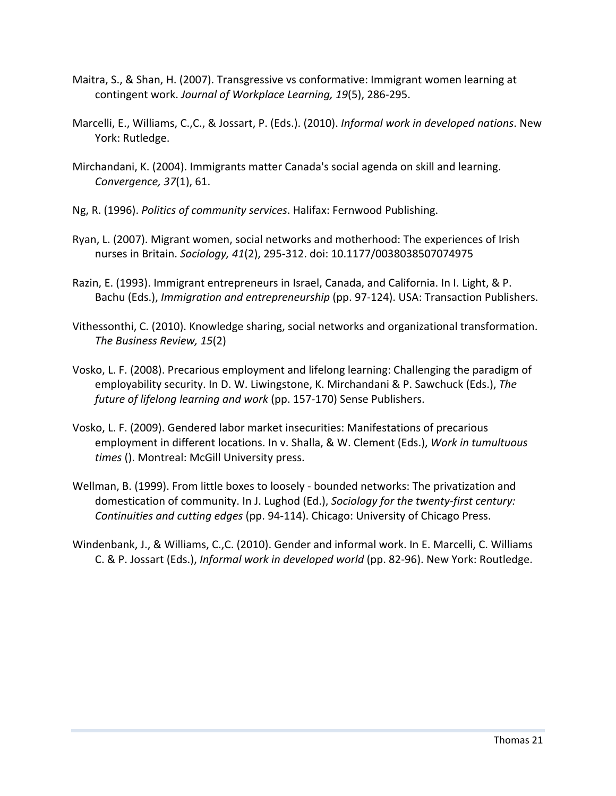- Maitra, S., & Shan, H. (2007). Transgressive vs conformative: Immigrant women learning at contingent work. Journal of Workplace Learning, 19(5), 286-295.
- Marcelli, E., Williams, C.,C., & Jossart, P. (Eds.). (2010). *Informal work in developed nations*. New York: Rutledge.
- Mirchandani, K. (2004). Immigrants matter Canada's social agenda on skill and learning. *Convergence, 37(1), 61.*
- Ng, R. (1996). *Politics of community services*. Halifax: Fernwood Publishing.
- Ryan, L. (2007). Migrant women, social networks and motherhood: The experiences of Irish nurses in Britain. Sociology, 41(2), 295-312. doi: 10.1177/0038038507074975
- Razin, E. (1993). Immigrant entrepreneurs in Israel, Canada, and California. In I. Light, & P. Bachu (Eds.), *Immigration and entrepreneurship* (pp. 97-124). USA: Transaction Publishers.
- Vithessonthi, C. (2010). Knowledge sharing, social networks and organizational transformation. *The Business Review, 15(2)*
- Vosko, L. F. (2008). Precarious employment and lifelong learning: Challenging the paradigm of employability security. In D. W. Liwingstone, K. Mirchandani & P. Sawchuck (Eds.), The *future of lifelong learning and work* (pp. 157-170) Sense Publishers.
- Vosko, L. F. (2009). Gendered labor market insecurities: Manifestations of precarious employment in different locations. In v. Shalla, & W. Clement (Eds.), *Work in tumultuous times* (). Montreal: McGill University press.
- Wellman, B. (1999). From little boxes to loosely bounded networks: The privatization and domestication of community. In J. Lughod (Ed.), *Sociology for the twenty-first century: Continuities and cutting edges* (pp. 94-114). Chicago: University of Chicago Press.
- Windenbank, J., & Williams, C.,C. (2010). Gender and informal work. In E. Marcelli, C. Williams C. & P. Jossart (Eds.), *Informal work in developed world* (pp. 82-96). New York: Routledge.